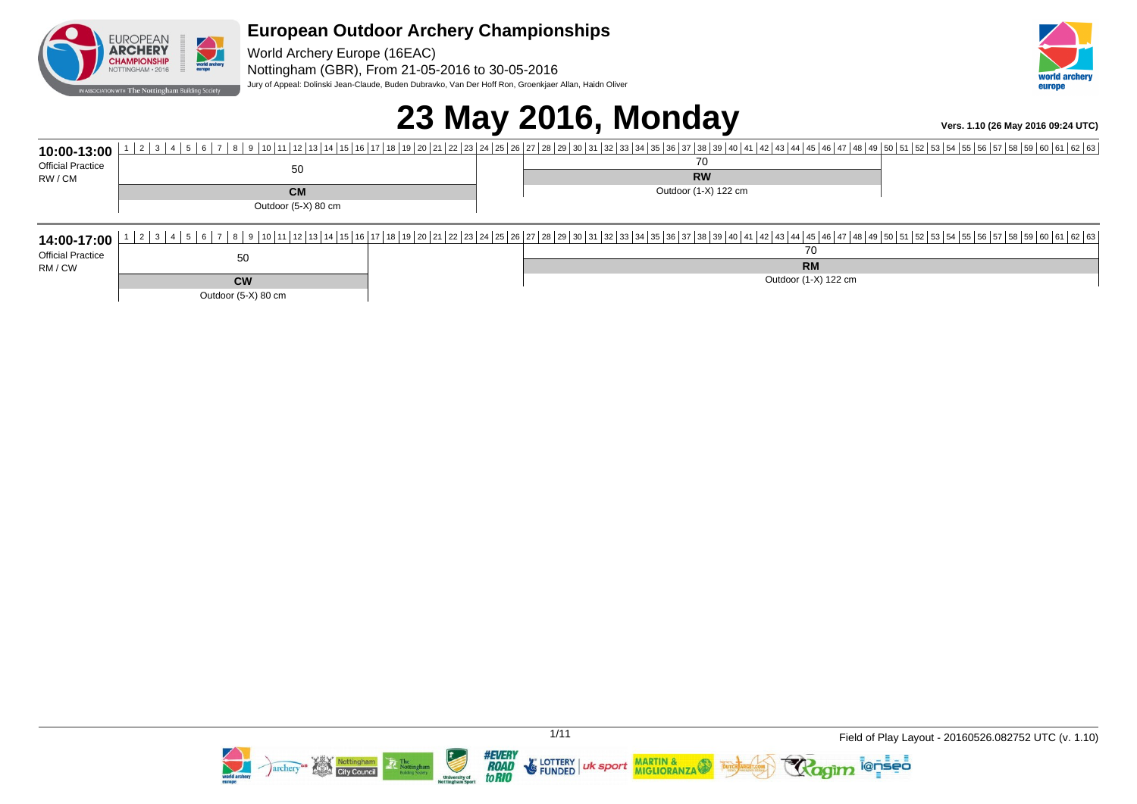

World Archery Europe (16EAC) Nottingham (GBR), From 21-05-2016 to 30-05-2016 Jury of Appeal: Dolinski Jean-Claude, Buden Dubravko, Van Der Hoff Ron, Groenkjaer Allan, Haidn Oliver



# **23 May 2016, Monday Vers. 1.10 (26 May 2016 09:24 UTC)**

| 10:00-13:00              |                     |  |                                     |  |  |
|--------------------------|---------------------|--|-------------------------------------|--|--|
| <b>Official Practice</b> | 50                  |  | 70                                  |  |  |
| RW / CM                  |                     |  | <b>RW</b>                           |  |  |
|                          | <b>CM</b>           |  | Outdoor (1-X) 122 cm                |  |  |
|                          | Outdoor (5-X) 80 cm |  |                                     |  |  |
|                          |                     |  |                                     |  |  |
|                          |                     |  | 14:00-17:00 12345678506780780616268 |  |  |
| <b>Official Practice</b> | 50                  |  | 70                                  |  |  |
| RM / CW                  |                     |  | <b>RM</b>                           |  |  |
|                          | <b>CW</b>           |  | Outdoor (1-X) 122 cm                |  |  |
|                          | Outdoor (5-X) 80 cm |  |                                     |  |  |



aim <sup>l@ņšēo</sup>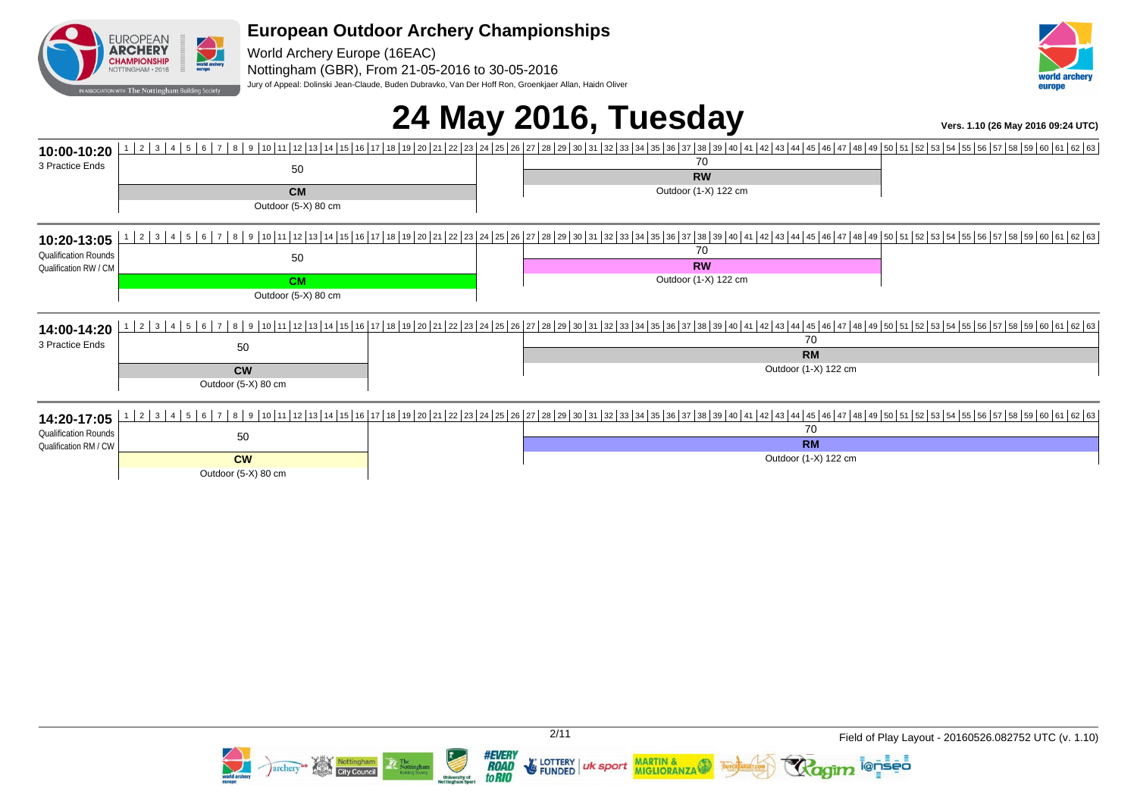

World Archery Europe (16EAC) Nottingham (GBR), From 21-05-2016 to 30-05-2016 Jury of Appeal: Dolinski Jean-Claude, Buden Dubravko, Van Der Hoff Ron, Groenkjaer Allan, Haidn Oliver



# **24 May 2016, Tuesday Vers. 1.10 (26 May 2016 09:24 UTC)**

| 10:00-10:20                 |                                  | 2 3 4 5 6 7 8 9 10 11 12 13 14 15 16 17 18 19 20 21 22 23 24 25 26 27 28 29 30 31 32 33 34 35 36 37 38 39 40 41 42 43 44 45 46 47 48 49 50 51 52 53 54 55 56 57 58 59 60 61 62 63                                               |
|-----------------------------|----------------------------------|---------------------------------------------------------------------------------------------------------------------------------------------------------------------------------------------------------------------------------|
| 3 Practice Ends             | 50                               | 70                                                                                                                                                                                                                              |
|                             |                                  | <b>RW</b>                                                                                                                                                                                                                       |
|                             | <b>CM</b>                        | Outdoor (1-X) 122 cm                                                                                                                                                                                                            |
|                             | Outdoor (5-X) 80 cm              |                                                                                                                                                                                                                                 |
|                             |                                  |                                                                                                                                                                                                                                 |
| 10:20-13:05                 |                                  |                                                                                                                                                                                                                                 |
| <b>Qualification Rounds</b> | 50                               | 70                                                                                                                                                                                                                              |
| Qualification RW / CM       |                                  | <b>RW</b>                                                                                                                                                                                                                       |
|                             | <b>CM</b>                        | Outdoor (1-X) 122 cm                                                                                                                                                                                                            |
|                             | Outdoor (5-X) 80 cm              |                                                                                                                                                                                                                                 |
|                             |                                  |                                                                                                                                                                                                                                 |
| 14:00-14:20                 |                                  | 2 3 4 5 6 7 8 9 8 50 8 7 8 9 8 9 8 1 8 1 8 18 18 18 18 18 18 18 18 19 10 11 18 19 10 11 18 19 10 11 18 19 10 11 18 19 20 21 22 23 24 25 26 27 28 29 30 31 32 33 34 35 36 137 38 39 40 41 42 43 44 45 46 47 48 49 50 51 52 53 54 |
| 3 Practice Ends             | 50                               | 70                                                                                                                                                                                                                              |
|                             |                                  | <b>RM</b>                                                                                                                                                                                                                       |
|                             | <b>CW</b>                        | Outdoor (1-X) 122 cm                                                                                                                                                                                                            |
|                             | Outdoor (5-X) 80 cm              |                                                                                                                                                                                                                                 |
|                             |                                  |                                                                                                                                                                                                                                 |
| 14:20-17:05                 | 2 3 4 5 6 7<br>181               | 9 0 12 2 3 24 25 26 27 28 29 30 31 32 33 4 35 36 37 38 39 40 41 42 43 44 5 46 47 48 49 50 51 52 53 54 55 56 57 58 59 60 51 52 53 54 55 58 59 60 61 62 63                                                                        |
| <b>Qualification Rounds</b> | 50                               | 70<br><b>RM</b>                                                                                                                                                                                                                 |
| Qualification RM / CW       |                                  | Outdoor (1-X) 122 cm                                                                                                                                                                                                            |
|                             | <b>CW</b><br>Outdoor (5-X) 80 cm |                                                                                                                                                                                                                                 |
|                             |                                  |                                                                                                                                                                                                                                 |



**lenseo**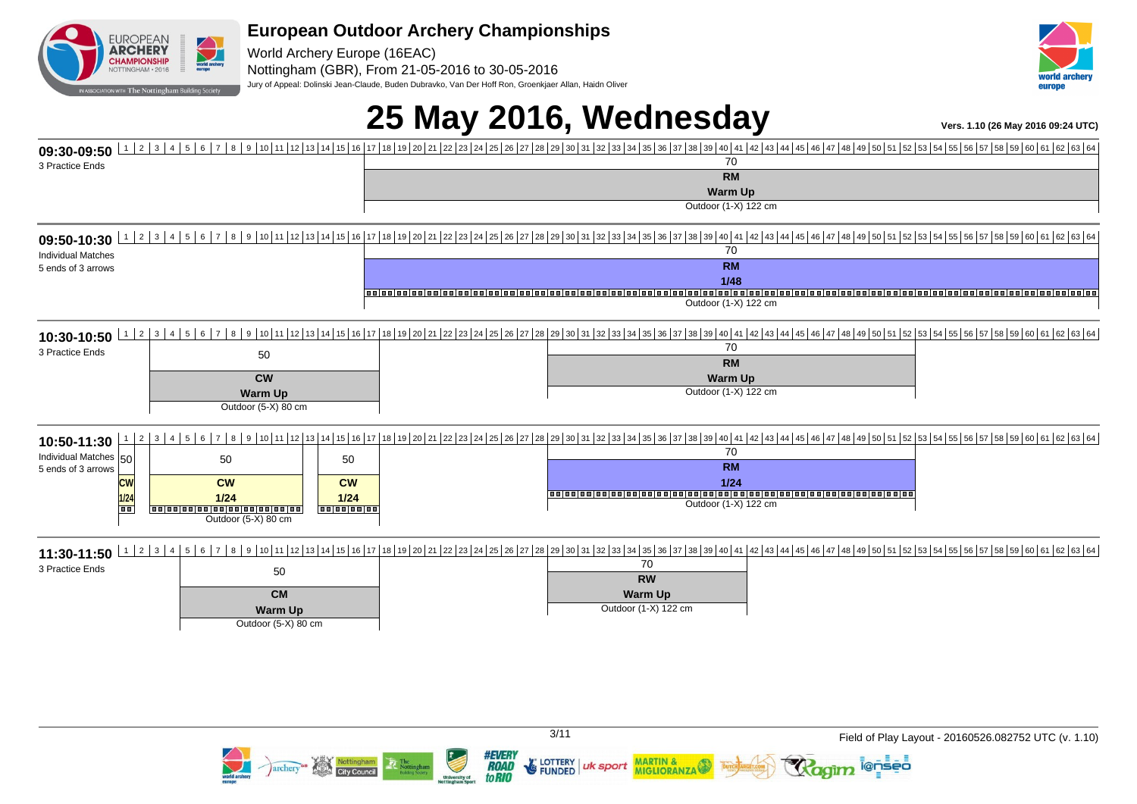

World Archery Europe (16EAC) Nottingham (GBR), From 21-05-2016 to 30-05-2016 Jury of Appeal: Dolinski Jean-Claude, Buden Dubravko, Van Der Hoff Ron, Groenkjaer Allan, Haidn Oliver



# **25 May 2016, Wednesday Vers. 1.10 (26 May 2016 09:24 UTC)**

| 09:30-09:50                   | 1  2  3  4  5  6  7  8  9  10  11  12  13  14  15  16  17  18  19  20  21  22  23  24  25  28  27  28  29  30  31  32  33  34  35  38  37  38  39  40  41  42  43  44  45  46  47  48  49  50  51  52  53  54  55  56  57  58 |                                                                                                                                                                                                                               |  |  |
|-------------------------------|-------------------------------------------------------------------------------------------------------------------------------------------------------------------------------------------------------------------------------|-------------------------------------------------------------------------------------------------------------------------------------------------------------------------------------------------------------------------------|--|--|
| 3 Practice Ends               |                                                                                                                                                                                                                               | 70<br><b>RM</b>                                                                                                                                                                                                               |  |  |
|                               |                                                                                                                                                                                                                               | <b>Warm Up</b>                                                                                                                                                                                                                |  |  |
|                               |                                                                                                                                                                                                                               | Outdoor (1-X) 122 cm                                                                                                                                                                                                          |  |  |
|                               |                                                                                                                                                                                                                               | 09:50-10:30 123456505100112345670560101120131415161718192021222324252021232425202128293031323343536373839403132334354394041424344454647484950515253545565758596061626364                                                      |  |  |
| <b>Individual Matches</b>     |                                                                                                                                                                                                                               | 70                                                                                                                                                                                                                            |  |  |
| 5 ends of 3 arrows            |                                                                                                                                                                                                                               | <b>RM</b>                                                                                                                                                                                                                     |  |  |
|                               |                                                                                                                                                                                                                               | 1/48<br>ialaalaalaalaalaal                                                                                                                                                                                                    |  |  |
|                               |                                                                                                                                                                                                                               | Outdoor (1-X) 122 cm                                                                                                                                                                                                          |  |  |
|                               |                                                                                                                                                                                                                               |                                                                                                                                                                                                                               |  |  |
| 3 Practice Ends               |                                                                                                                                                                                                                               | 70                                                                                                                                                                                                                            |  |  |
|                               | 50                                                                                                                                                                                                                            | <b>RM</b>                                                                                                                                                                                                                     |  |  |
|                               | <b>CW</b>                                                                                                                                                                                                                     | <b>Warm Up</b>                                                                                                                                                                                                                |  |  |
|                               | <b>Warm Up</b>                                                                                                                                                                                                                | Outdoor (1-X) 122 cm                                                                                                                                                                                                          |  |  |
|                               | Outdoor (5-X) 80 cm                                                                                                                                                                                                           |                                                                                                                                                                                                                               |  |  |
| $\overline{2}$<br>10:50-11:30 | 3 <sup>1</sup><br>8 <sup>1</sup><br>$5 \mid 6$                                                                                                                                                                                | 9   10   11   12   13   14   15   16   17   18   19   20   21   22   23   24   25   26   27   28   29   30   31   32   33   34   35   38   39   30   31   32   33   34   35   36   37   38   39   40   41   42   43   44   45 |  |  |
| Individual Matches 50         | 50<br>50                                                                                                                                                                                                                      | 70                                                                                                                                                                                                                            |  |  |
| 5 ends of 3 arrows            |                                                                                                                                                                                                                               | <b>RM</b>                                                                                                                                                                                                                     |  |  |
| <b>CW</b>                     | cw<br><b>CW</b><br>1/24<br>$1/24$                                                                                                                                                                                             | 1/24                                                                                                                                                                                                                          |  |  |
| 1/24<br><b>To a</b>           | 000000000000000000000<br>00000000                                                                                                                                                                                             | Outdoor (1-X) 122 cm                                                                                                                                                                                                          |  |  |
|                               | Outdoor (5-X) 80 cm                                                                                                                                                                                                           |                                                                                                                                                                                                                               |  |  |
|                               |                                                                                                                                                                                                                               | 11:30-11:50 12345678567869061626364                                                                                                                                                                                           |  |  |
| 3 Practice Ends               | 50                                                                                                                                                                                                                            | 70                                                                                                                                                                                                                            |  |  |
|                               |                                                                                                                                                                                                                               | <b>RW</b>                                                                                                                                                                                                                     |  |  |
|                               | <b>CM</b>                                                                                                                                                                                                                     | <b>Warm Up</b>                                                                                                                                                                                                                |  |  |
|                               | <b>Warm Up</b><br>Outdoor (5-X) 80 cm                                                                                                                                                                                         | Outdoor (1-X) 122 cm                                                                                                                                                                                                          |  |  |
|                               |                                                                                                                                                                                                                               |                                                                                                                                                                                                                               |  |  |



**E** LOTTERY

**FUNDED** 

uk sport

MARTIN &<br>MIGLIORANZA

*#EVERY<br>ROAD<br>toRIO* 

i@nseo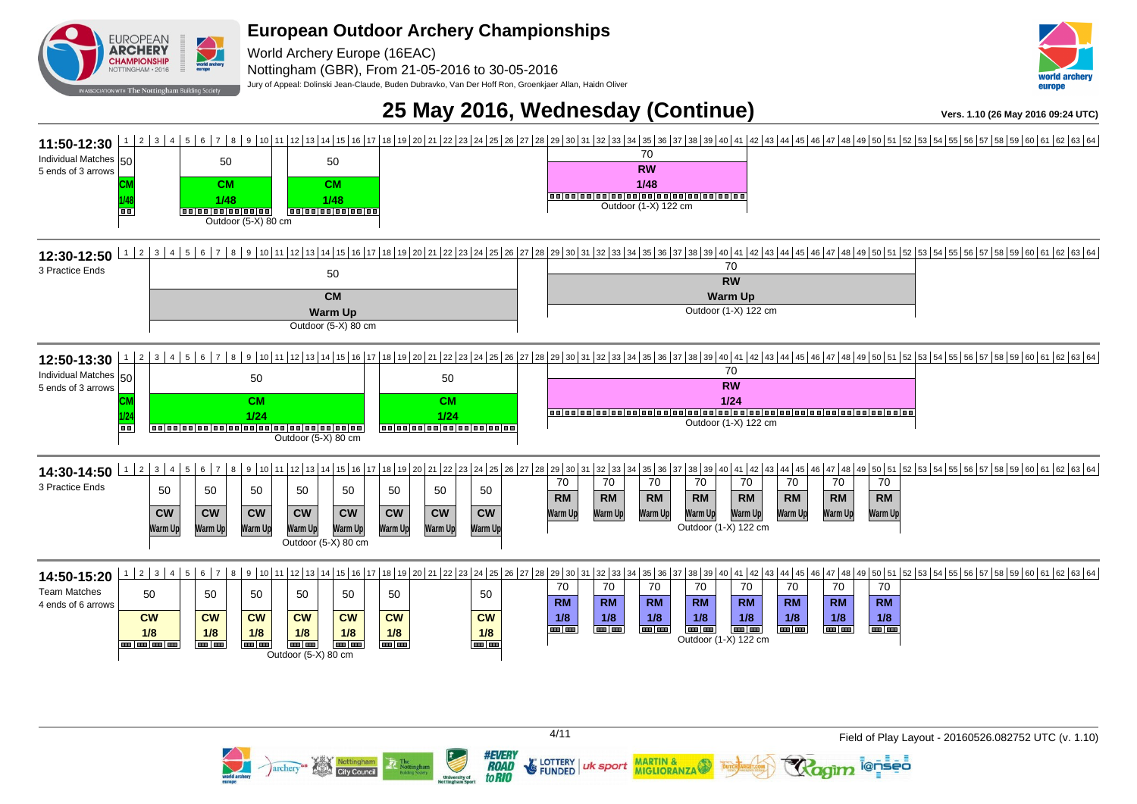**EUROPEAN Example**<br> **World archery ARCHERY** World Archery Europe (16EAC) CHAMPIONSHIP NOTTINGHAM · 2016

Nottingham (GBR), From 21-05-2016 to 30-05-2016

Jury of Appeal: Dolinski Jean-Claude, Buden Dubravko, Van Der Hoff Ron, Groenkjaer Allan, Haidn Oliver



## **25 May 2016, Wednesday (Continue)**  $V_{\text{ers. 1.10 (26 Mav 2016 09:24 UTC)}}$



**Z' LOTTERY** 

**FUNDED** 

uk sport

**MARTIN &** 

**MIGLIORANZA** 

**#EVERY** 

**ROAD** 

to RIO

archery<sup>on</sup>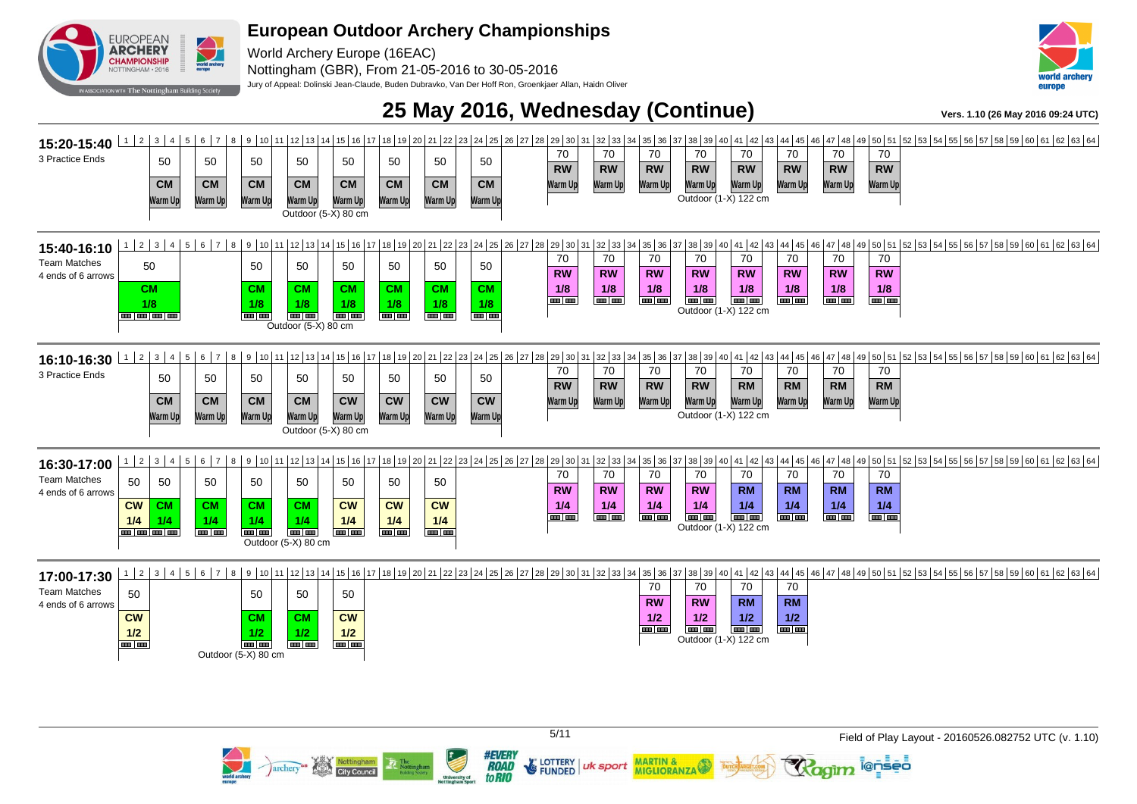

World Archery Europe (16EAC) Nottingham (GBR), From 21-05-2016 to 30-05-2016

archery<sup>on</sup> Nottingham

Jury of Appeal: Dolinski Jean-Claude, Buden Dubravko, Van Der Hoff Ron, Groenkjaer Allan, Haidn Oliver



### **25 May 2016, Wednesday (Continue)**  $V_{\text{ers. 1.10 (26 May 2016 09:24 UTC)}}$



**FUNDED** 

**MARTIN &** 

**MIGLIORANZA** 

uk sport

**#EVERY ROAD** 

to RIO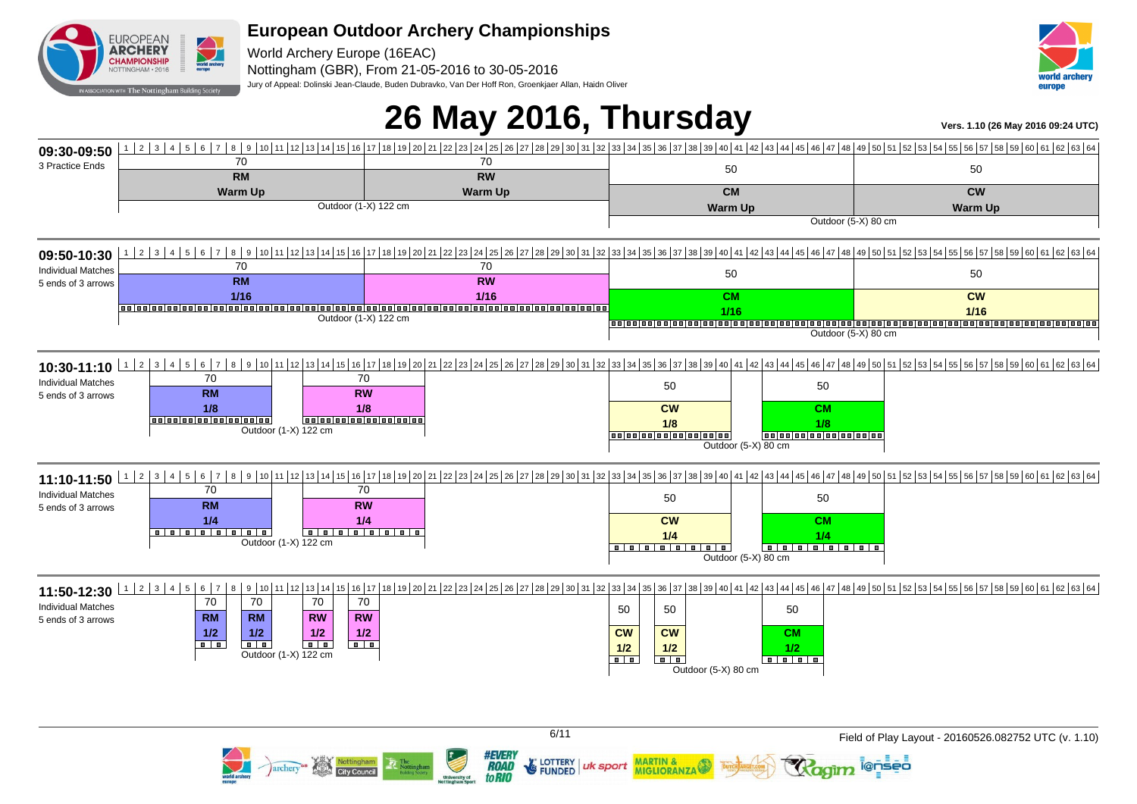

World Archery Europe (16EAC) Nottingham (GBR), From 21-05-2016 to 30-05-2016 Jury of Appeal: Dolinski Jean-Claude, Buden Dubravko, Van Der Hoff Ron, Groenkjaer Allan, Haidn Oliver



## **26 May 2016, Thursday Vers. 1.10 (26 May 2016 09:24 UTC)**

**09:30-09:50** 3 Practice Ends 1 2 3 4 5 6 7 8 9 10 11 12 13 14 15 16 17 18 19 20 21 22 23 24 25 26 27 28 29 30 31 32 33 34 35 36 37 38 39 40 41 42 43 44 45 46 47 48 49 50 51 52 53 54 55 56 57 58 59 60 61 62 63 64 70 **RM Warm Up** 70 **RW Warm Up** 50 **CM Warm Up** 50 **CW** Outdoor (1-X) 122 cm **Warm Up** Outdoor (5-X) 80 cm **09:50-10:30** Individual Matches 5 ends of 3 arrows 1 2 3 4 5 6 7 8 9 10 11 12 13 14 15 16 17 18 19 20 21 22 34 25 26 27 28 24 25 26 30 31 32 33 34 35 36 37 38 39 40 41 42 43 44 45 49 40 47 48 49 50 51 52 53 54 55 56 57 58 59 60 61 62 63 64 70 **RM 1/16** 70 **RW 1/16** 50 **CM 1/16** 50 **CW 1/16** Outdoor (1-X) 122 cm Outdoor (5-X) 80 cm **10:30-11:10** <sup>| 1 2</sup> 3 4 5 6 7 8 9 10 11 12 13 14 15 16 17 18 19 20 21 22 23 24 25 26 27 28 29 30 31 32 33 34 35 36 37 38 39 40 41 42 43 44 45 46 47 48 49 50 51 52 53 54 55 56 57 58 59 60 61 62 63 64 59 60 61 62 63 Individual Matches 5 ends of 3 arrows 70 **RM 1/8** 70 **RW 1/8** 50 **CW 1/8** 50 **CM 1/8** Outdoor (1-X) 122 cm Outdoor (5-X) 80 cm **11:10-11:50**  $12$  3 4 5 6 7 8 9 10 11 12 13 14 15 16 17 18 19 20 21 22 23 24 25 26 27 28 29 30 31 32 33 34 35 36 37 38 39 40 50 41 42 43 44 45 46 47 48 49 50 51 52 53 54 55 56 57 58 59 60 61 62 63 64 50 60 61 62 63 64 55 Individual Matches 5 ends of 3 arrows 70 **RM 1/4** 70 **RW 1/4** 50 **CW 1/4** 50 **CM 1/4** Outdoor (1-X) 122 cm Outdoor  $(5-X)$  80 cm **11:50-12:30** Individual Matches 5 ends of 3 arrows | 1 | 2 | 3 | 4 | 5 | 6 | 7 | 8 | 9 | 10 | 11 | 12 | 13 | 14 | 15 | 16 | 17 | 18 | 16 | 17 | 18 | 19 | 20 | 21 | 22 | 23 | 24 | 25 | 26 | 30 | 31 | 32 | 33 | 34 | 35 | 36 | 37 | 38 | 39 | 40 | 41 | 42 | 43 | 44 | 45 | 46 | 70 **RM 1/2** 70 **RM 1/2** 70 **RW 1/2** 70 **RW 1/2** 50 **CW 1/2** 50 **CW 1/2** 50 **CM 1/2** Outdoor (1-X) 122 cm Outdoor (5-X) 80 cm

LOTTERY

**FUNDED** 

uk sport

**MARTIN &** 

**MIGLIORANZA** 

#EVERI **ROAD** 

to RIO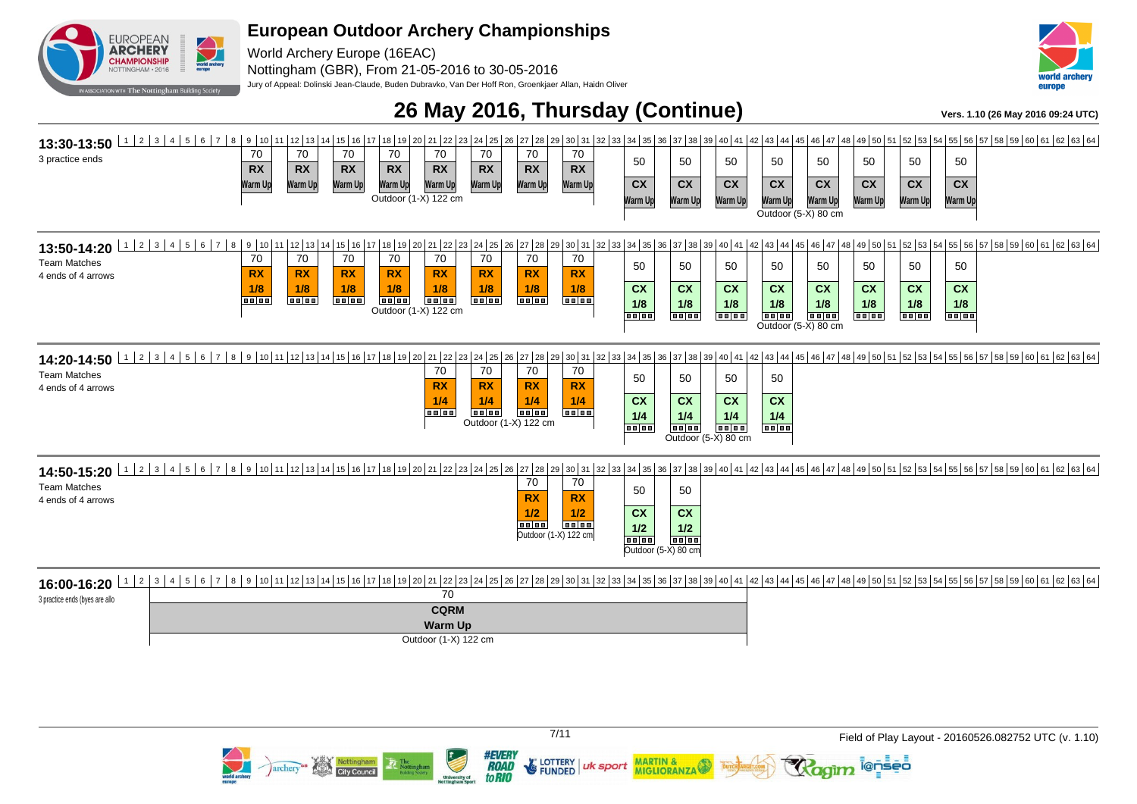

World Archery Europe (16EAC) Nottingham (GBR), From 21-05-2016 to 30-05-2016

Jury of Appeal: Dolinski Jean-Claude, Buden Dubravko, Van Der Hoff Ron, Groenkjaer Allan, Haidn Oliver



### **26 May 2016, Thursday (Continue) Vers. 1.10 (26 May 2016 09:24 UTC)**



3 practice ends (byes are allo 70 **CQRM Warm Up** Outdoor (1-X) 122 cm

> **#EVERY** archery<sup>es</sup> Nottingham **ROAD**

to RIO

**FUNDED** 

uk sport

**MARTIN &** 

**MIGLIORANZA** 

7/11 Field of Play Layout - 20160526.082752 UTC (v. 1.10)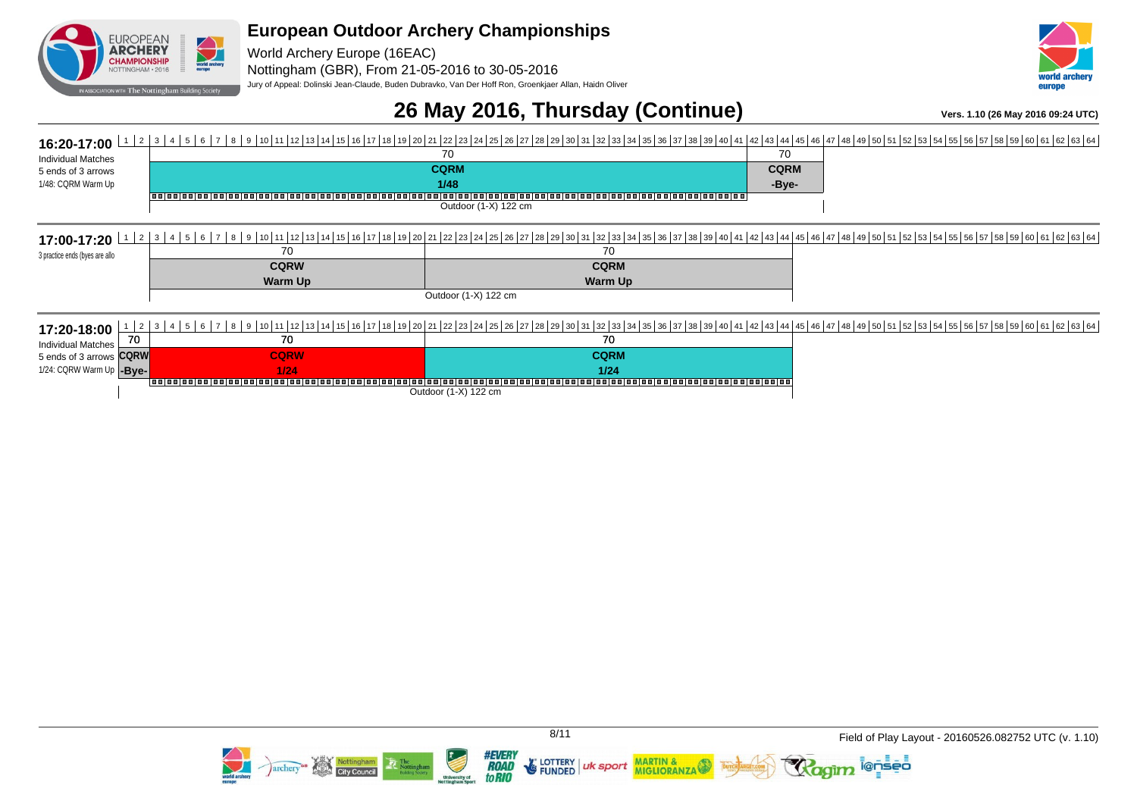

World Archery Europe (16EAC) Nottingham (GBR), From 21-05-2016 to 30-05-2016 Jury of Appeal: Dolinski Jean-Claude, Buden Dubravko, Van Der Hoff Ron, Groenkjaer Allan, Haidn Oliver



### **26 May 2016, Thursday (Continue) Vers. 1.10 (26 May 2016 09:24 UTC)**

#### **16:20-17:00** <sup>1</sup> <sup>2</sup> 3 4 5 6 7 8 9 10 11 12 13 14 13 14 15 16 11 13 14 31 29 20 21 22 23 24 25 26 27 28 29 30 31 32 33 34 38 39 39 30 31 32 33 34 49 39 40 41 Individual Matches 5 ends of 3 arrows 1/48: CQRM Warm Up 70 **CQRM** <u>1/48</u><br>|-<br>| acjos| acjos| acjos| acjos| acjos| acjos| acjos| acjos| acjos| acjos| acjos| acjos| acjos| acjos| acjos| acjos| acjos 70 **CQRM -Bye-**Outdoor (1-X) 122 cm **17:00-17:20**  $\frac{1}{2}$  3  $\frac{1}{4}$  5  $\frac{6}{5}$  6  $\frac{7}{8}$  6  $\frac{8}{10}$  7  $\frac{8}{19}$   $\frac{9}{10}$   $\frac{1}{11}$   $\frac{1}{2}$   $\frac{1}{36}$   $\frac{1}{36}$   $\frac{1}{26}$   $\frac{2}{26}$   $\frac{28}{26}$   $\frac{27}{28}$   $\frac{28}{26}$   $\frac{27}{28}$   $\frac{28}{26}$  3 practice ends (byes are allo 70 **CQRW Warm Up** 70 **CQRM Warm Up** Outdoor (1-X) 122 cm **17:20-18:00** Individual Matches 5 ends of 3 arrows 1/24: CQRW Warm Up 1 2 3 4 5 6 6 7 8 9 10 11 12 13 14 15 10 17 18 19 20 21 22 23 24 25 28 27 28 29 30 31 32 33 34 35 36 37 38 39 40 41 42 43 44 45 40 5 4 5 4 8 40 50 51 52 53 54 55 56 57 58 59 60 61 62 63 64 70 **CQRW** <u>-Bye- 1999 - 1999 - 1999 - 1999 - 1999 - 1999 - 1999 - 1999 - 1999 - 1999 - 1999 - 1999 - 1999 - 1999 - 1999 - 1</u><br>Andre propolacion de la concelacion de la concelación de la concelación de la concelación de la concelación 70 **CQRW 1/24** 70 **CQRM 1/24**

**MARTIN &** 

**MIGLIORANZA** 

uk sport

Outdoor (1-X) 122 cm



i@nseo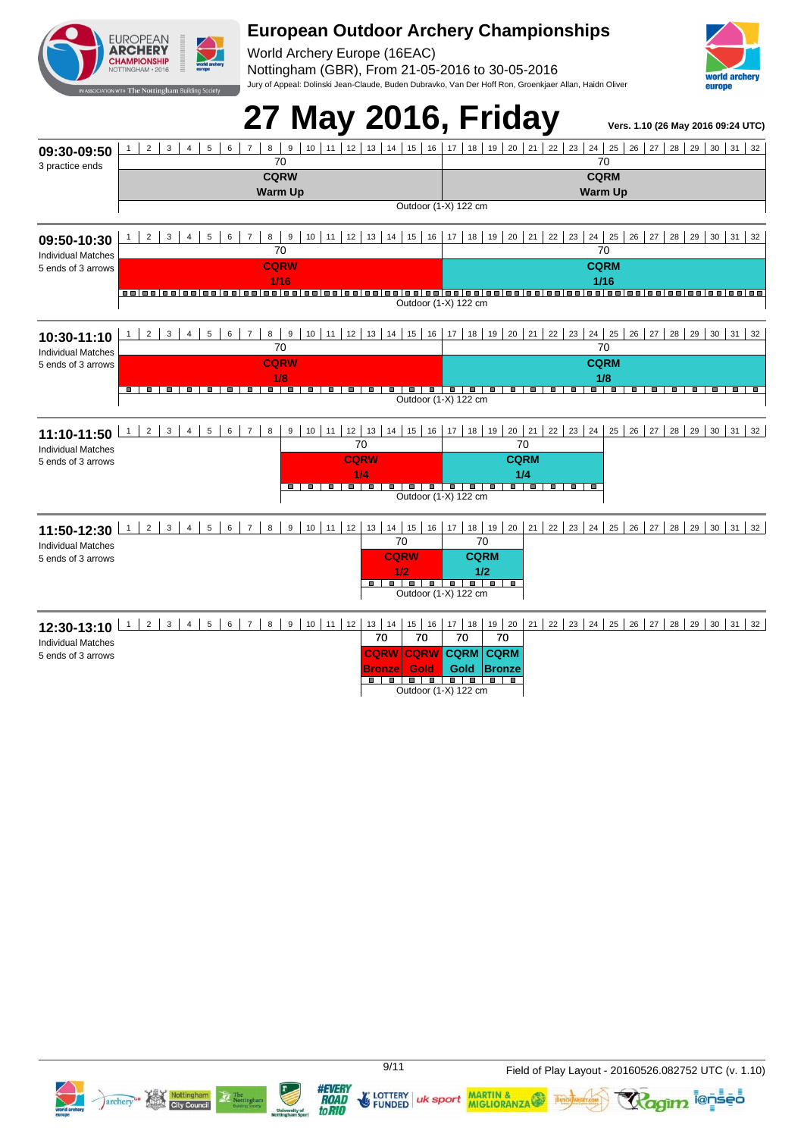

World Archery Europe (16EAC) Nottingham (GBR), From 21-05-2016 to 30-05-2016 Jury of Appeal: Dolinski Jean-Claude, Buden Dubravko, Van Der Hoff Ron, Groenkjaer Allan, Haidn Oliver



#### 27 May 2016, Friday **Vers. 1.10 (26 May 2016 09:24 UTC) 09:30-09:50** 3 practice ends 1 2 3 4 5 6 7 8 9 10 11 12 13 14 15 16 17 18 19 20 21 22 23 24 25 26 27 28 29 30 31 32 70 **CQRW Warm Up** 70 **CQRM Warm Up** Outdoor (1-X) 122 cm **09:50-10:30** Individual Matches 5 ends of 3 arrows 1 2 3 4 5 6 7 8 9 10 11 2 3 4 5 6 7 8 9 30 31 32 70 **CQRW 1/16** 70 **CQRM 1/16** Outdoor (1-X) 122 cm **10:30-11:10** Individual Matches 5 ends of 3 arrows 1 2 3 4 5 6 7 8 9 10 11 2 3 4 5 6 7 8 9 30 31 32 70 **CQRW 1/8** 70 **CQRM 1/8** Outdoor (1-X) 122 cm **11:10-11:50** Individual Matches 5 ends of 3 arrows 9 | 10 | 11 | 12 | 13 | 14 | 15 | 16 | 17 | 18 | 19 | 20 | 21 | 22 | 23 | 24 | 25 | 26 | 27 | 28 | 29 | 30 | 31 | 32 | 70 **CQRW** <mark>1990 - 1990 - 1990 - 1990 - 1990 - 1990 - 1990 - 1990 - 1990 - 1990 - 1990 - 1990 - 1990 - 1990 - 1990 - 1990 - 1</u><br>Note that the second series of the second series of the series of the series of the second series of the s</mark> 70 **CQRM 1/4** Outdoor (1-X) 122 cm **11:50-12:30** 1 2 3 4 5 6 7 8 9 10 11 12 13 14 15 16 17 18 19 20 21 22 23 24 25 26 27 28 29 30 31 32 Individual Matches 5 ends of 3 arrows 70 **CQRW 1/2** 70 **CQRM 1/2** Outdoor (1-X) 122 cm **12:30-13:10** 1 2 3 4 5 6 7 8 9 10 11 12 13 14 15 16 17 18 19 20 21 22 23 24 25 26 27 28 29 30 31 32 Individual Matches 5 ends of 3 arrows 70 **CQRW CQRW** 70 **Gold** 70 **CQRM** 70 **CQRM**

**Bronze Gold Gold Bronze** 

Outdoor (1-X) 122 cm

**Gold Bronze**





**to RIO** 

**FUNDED** 



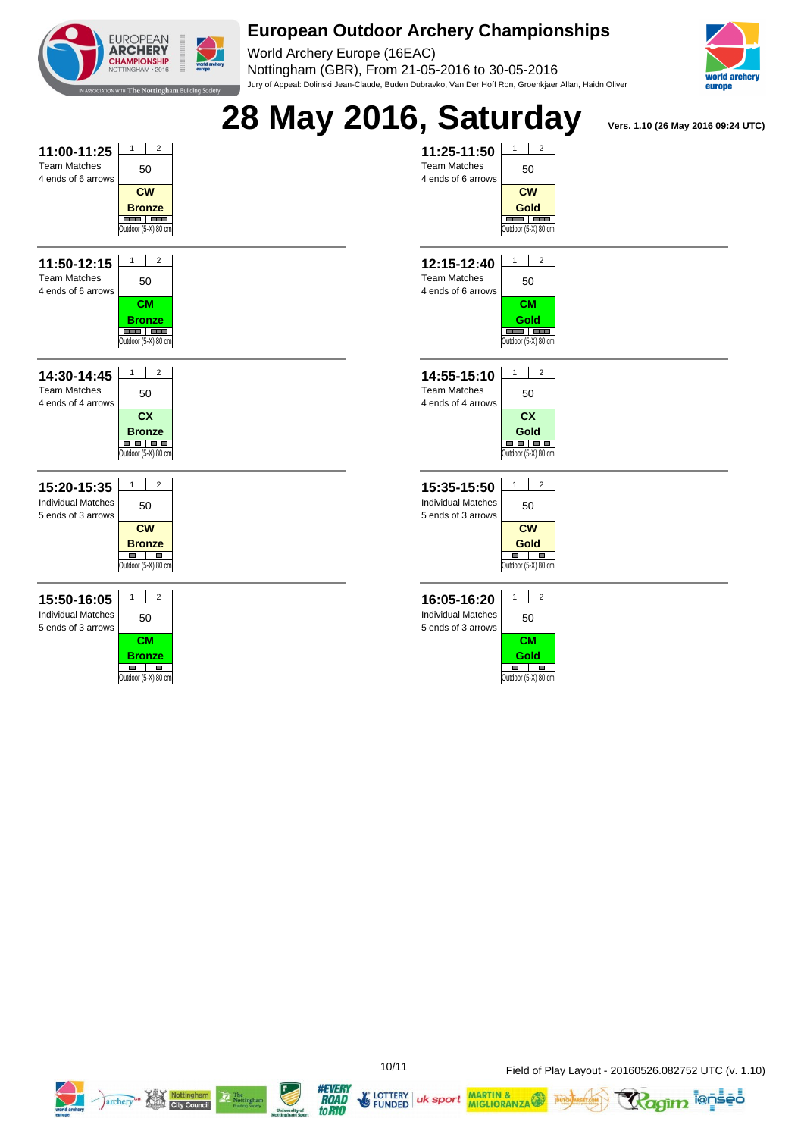

World Archery Europe (16EAC) Nottingham (GBR), From 21-05-2016 to 30-05-2016 Jury of Appeal: Dolinski Jean-Claude, Buden Dubravko, Van Der Hoff Ron, Groenkjaer Allan, Haidn Oliver







E LOTTERY | uk sport | MARTIN & LOTTERY | uk sport | MARTIN &

**#EVERY** 

**ROAD** 

to RIO



**Ragim <sup>i@nseo</sup>**